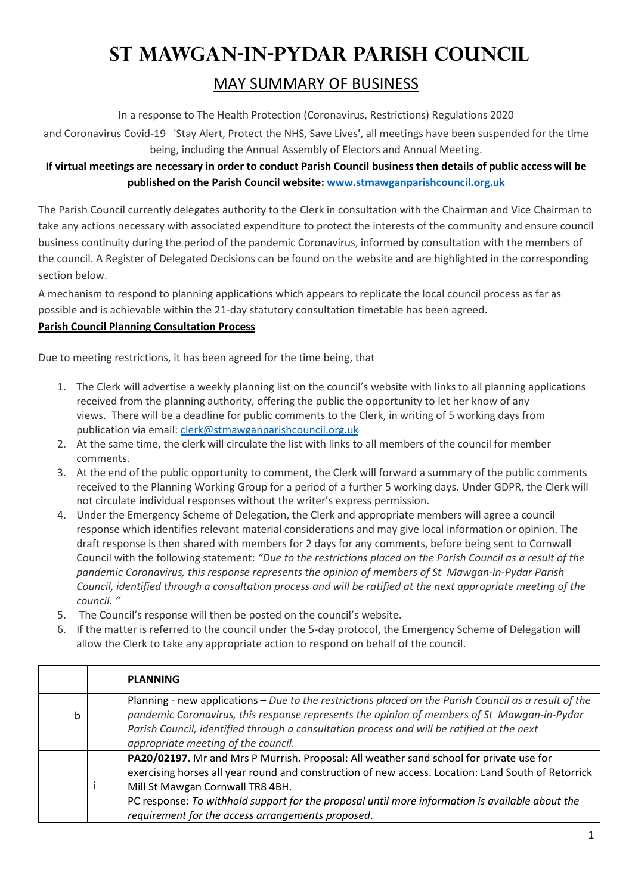# **St Mawgan-in-Pydar Parish Council**

## MAY SUMMARY OF BUSINESS

In a response to The Health Protection (Coronavirus, Restrictions) Regulations 2020

and Coronavirus Covid-19 'Stay Alert, Protect the NHS, Save Lives', all meetings have been suspended for the time being, including the Annual Assembly of Electors and Annual Meeting.

### **If virtual meetings are necessary in order to conduct Parish Council business then details of public access will be published on the Parish Council website: www.stmawganparishcouncil.org.uk**

The Parish Council currently delegates authority to the Clerk in consultation with the Chairman and Vice Chairman to take any actions necessary with associated expenditure to protect the interests of the community and ensure council business continuity during the period of the pandemic Coronavirus, informed by consultation with the members of the council. A Register of Delegated Decisions can be found on the website and are highlighted in the corresponding section below.

A mechanism to respond to planning applications which appears to replicate the local council process as far as possible and is achievable within the 21-day statutory consultation timetable has been agreed.

#### **Parish Council Planning Consultation Process**

Due to meeting restrictions, it has been agreed for the time being, that

- 1. The Clerk will advertise a weekly planning list on the council's website with links to all planning applications received from the planning authority, offering the public the opportunity to let her know of any views. There will be a deadline for public comments to the Clerk, in writing of 5 working days from publication via email: clerk@stmawganparishcouncil.org.uk
- 2. At the same time, the clerk will circulate the list with links to all members of the council for member comments.
- 3. At the end of the public opportunity to comment, the Clerk will forward a summary of the public comments received to the Planning Working Group for a period of a further 5 working days. Under GDPR, the Clerk will not circulate individual responses without the writer's express permission.
- 4. Under the Emergency Scheme of Delegation, the Clerk and appropriate members will agree a council response which identifies relevant material considerations and may give local information or opinion. The draft response is then shared with members for 2 days for any comments, before being sent to Cornwall Council with the following statement: *"Due to the restrictions placed on the Parish Council as a result of the pandemic Coronavirus, this response represents the opinion of members of St Mawgan-in-Pydar Parish Council, identified through a consultation process and will be ratified at the next appropriate meeting of the council. "*
- 5. The Council's response will then be posted on the council's website.
- 6. If the matter is referred to the council under the 5-day protocol, the Emergency Scheme of Delegation will allow the Clerk to take any appropriate action to respond on behalf of the council.

|   | <b>PLANNING</b>                                                                                                                                                                                                                                                                                                                                                                           |
|---|-------------------------------------------------------------------------------------------------------------------------------------------------------------------------------------------------------------------------------------------------------------------------------------------------------------------------------------------------------------------------------------------|
| b | Planning - new applications - Due to the restrictions placed on the Parish Council as a result of the<br>pandemic Coronavirus, this response represents the opinion of members of St Mawgan-in-Pydar<br>Parish Council, identified through a consultation process and will be ratified at the next<br>appropriate meeting of the council.                                                 |
|   | PA20/02197. Mr and Mrs P Murrish. Proposal: All weather sand school for private use for<br>exercising horses all year round and construction of new access. Location: Land South of Retorrick<br>Mill St Mawgan Cornwall TR8 4BH.<br>PC response: To withhold support for the proposal until more information is available about the<br>requirement for the access arrangements proposed. |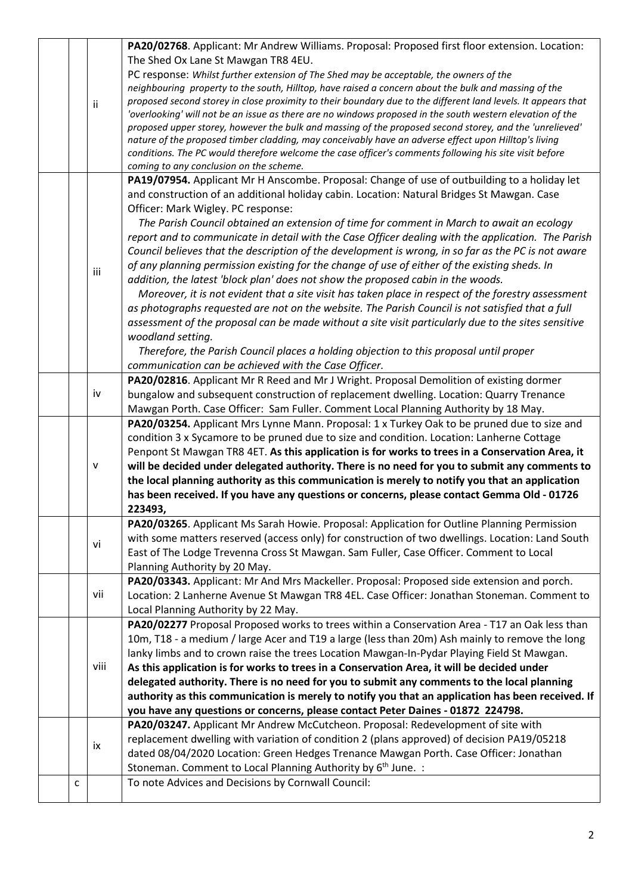|  |   |      | PA20/02768. Applicant: Mr Andrew Williams. Proposal: Proposed first floor extension. Location:                |
|--|---|------|---------------------------------------------------------------------------------------------------------------|
|  |   |      | The Shed Ox Lane St Mawgan TR8 4EU.                                                                           |
|  |   |      | PC response: Whilst further extension of The Shed may be acceptable, the owners of the                        |
|  |   |      | neighbouring property to the south, Hilltop, have raised a concern about the bulk and massing of the          |
|  |   | ii   | proposed second storey in close proximity to their boundary due to the different land levels. It appears that |
|  |   |      | 'overlooking' will not be an issue as there are no windows proposed in the south western elevation of the     |
|  |   |      | proposed upper storey, however the bulk and massing of the proposed second storey, and the 'unrelieved'       |
|  |   |      | nature of the proposed timber cladding, may conceivably have an adverse effect upon Hilltop's living          |
|  |   |      | conditions. The PC would therefore welcome the case officer's comments following his site visit before        |
|  |   |      | coming to any conclusion on the scheme.                                                                       |
|  |   |      | PA19/07954. Applicant Mr H Anscombe. Proposal: Change of use of outbuilding to a holiday let                  |
|  |   |      | and construction of an additional holiday cabin. Location: Natural Bridges St Mawgan. Case                    |
|  |   |      | Officer: Mark Wigley. PC response:                                                                            |
|  |   |      | The Parish Council obtained an extension of time for comment in March to await an ecology                     |
|  |   |      | report and to communicate in detail with the Case Officer dealing with the application. The Parish            |
|  |   |      | Council believes that the description of the development is wrong, in so far as the PC is not aware           |
|  |   | iii  | of any planning permission existing for the change of use of either of the existing sheds. In                 |
|  |   |      | addition, the latest 'block plan' does not show the proposed cabin in the woods.                              |
|  |   |      | Moreover, it is not evident that a site visit has taken place in respect of the forestry assessment           |
|  |   |      | as photographs requested are not on the website. The Parish Council is not satisfied that a full              |
|  |   |      | assessment of the proposal can be made without a site visit particularly due to the sites sensitive           |
|  |   |      | woodland setting.                                                                                             |
|  |   |      | Therefore, the Parish Council places a holding objection to this proposal until proper                        |
|  |   |      | communication can be achieved with the Case Officer.                                                          |
|  |   |      | PA20/02816. Applicant Mr R Reed and Mr J Wright. Proposal Demolition of existing dormer                       |
|  |   | iv   | bungalow and subsequent construction of replacement dwelling. Location: Quarry Trenance                       |
|  |   |      | Mawgan Porth. Case Officer: Sam Fuller. Comment Local Planning Authority by 18 May.                           |
|  |   |      | PA20/03254. Applicant Mrs Lynne Mann. Proposal: 1 x Turkey Oak to be pruned due to size and                   |
|  |   |      | condition 3 x Sycamore to be pruned due to size and condition. Location: Lanherne Cottage                     |
|  |   |      | Penpont St Mawgan TR8 4ET. As this application is for works to trees in a Conservation Area, it               |
|  |   | v    | will be decided under delegated authority. There is no need for you to submit any comments to                 |
|  |   |      | the local planning authority as this communication is merely to notify you that an application                |
|  |   |      | has been received. If you have any questions or concerns, please contact Gemma Old - 01726                    |
|  |   |      | 223493,                                                                                                       |
|  |   |      | PA20/03265. Applicant Ms Sarah Howie. Proposal: Application for Outline Planning Permission                   |
|  |   | vi   | with some matters reserved (access only) for construction of two dwellings. Location: Land South              |
|  |   |      | East of The Lodge Trevenna Cross St Mawgan. Sam Fuller, Case Officer. Comment to Local                        |
|  |   |      | Planning Authority by 20 May.                                                                                 |
|  |   |      | PA20/03343. Applicant: Mr And Mrs Mackeller. Proposal: Proposed side extension and porch.                     |
|  |   | vii  | Location: 2 Lanherne Avenue St Mawgan TR8 4EL. Case Officer: Jonathan Stoneman. Comment to                    |
|  |   |      | Local Planning Authority by 22 May.                                                                           |
|  |   |      | PA20/02277 Proposal Proposed works to trees within a Conservation Area - T17 an Oak less than                 |
|  |   |      | 10m, T18 - a medium / large Acer and T19 a large (less than 20m) Ash mainly to remove the long                |
|  |   | viii | lanky limbs and to crown raise the trees Location Mawgan-In-Pydar Playing Field St Mawgan.                    |
|  |   |      | As this application is for works to trees in a Conservation Area, it will be decided under                    |
|  |   |      | delegated authority. There is no need for you to submit any comments to the local planning                    |
|  |   |      | authority as this communication is merely to notify you that an application has been received. If             |
|  |   |      | you have any questions or concerns, please contact Peter Daines - 01872 224798.                               |
|  |   |      | PA20/03247. Applicant Mr Andrew McCutcheon. Proposal: Redevelopment of site with                              |
|  |   |      | replacement dwelling with variation of condition 2 (plans approved) of decision PA19/05218                    |
|  |   | ix   | dated 08/04/2020 Location: Green Hedges Trenance Mawgan Porth. Case Officer: Jonathan                         |
|  |   |      |                                                                                                               |
|  |   |      |                                                                                                               |
|  |   |      | Stoneman. Comment to Local Planning Authority by 6 <sup>th</sup> June. :                                      |
|  | с |      | To note Advices and Decisions by Cornwall Council:                                                            |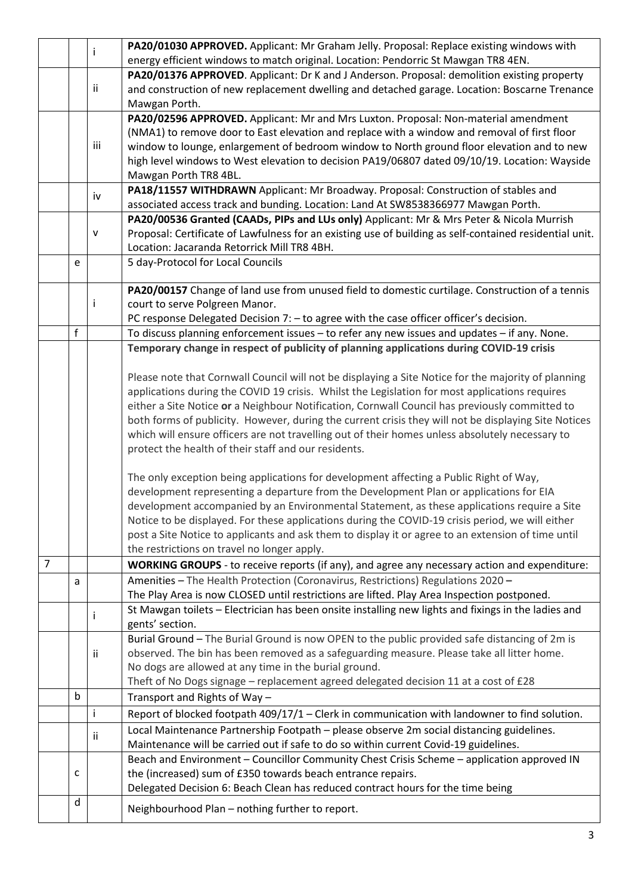|                |                                                                                                |                                                                                                   | PA20/01030 APPROVED. Applicant: Mr Graham Jelly. Proposal: Replace existing windows with                                                                                |  |  |  |  |  |
|----------------|------------------------------------------------------------------------------------------------|---------------------------------------------------------------------------------------------------|-------------------------------------------------------------------------------------------------------------------------------------------------------------------------|--|--|--|--|--|
|                |                                                                                                |                                                                                                   | energy efficient windows to match original. Location: Pendorric St Mawgan TR8 4EN.                                                                                      |  |  |  |  |  |
|                | PA20/01376 APPROVED. Applicant: Dr K and J Anderson. Proposal: demolition existing property    |                                                                                                   |                                                                                                                                                                         |  |  |  |  |  |
|                |                                                                                                | ii                                                                                                | and construction of new replacement dwelling and detached garage. Location: Boscarne Trenance                                                                           |  |  |  |  |  |
|                |                                                                                                |                                                                                                   | Mawgan Porth.                                                                                                                                                           |  |  |  |  |  |
|                |                                                                                                |                                                                                                   | PA20/02596 APPROVED. Applicant: Mr and Mrs Luxton. Proposal: Non-material amendment                                                                                     |  |  |  |  |  |
|                |                                                                                                |                                                                                                   | (NMA1) to remove door to East elevation and replace with a window and removal of first floor                                                                            |  |  |  |  |  |
|                |                                                                                                | iii<br>window to lounge, enlargement of bedroom window to North ground floor elevation and to new |                                                                                                                                                                         |  |  |  |  |  |
|                |                                                                                                |                                                                                                   | high level windows to West elevation to decision PA19/06807 dated 09/10/19. Location: Wayside                                                                           |  |  |  |  |  |
|                |                                                                                                |                                                                                                   | Mawgan Porth TR8 4BL.                                                                                                                                                   |  |  |  |  |  |
|                |                                                                                                | iv                                                                                                | PA18/11557 WITHDRAWN Applicant: Mr Broadway. Proposal: Construction of stables and<br>associated access track and bunding. Location: Land At SW8538366977 Mawgan Porth. |  |  |  |  |  |
|                |                                                                                                |                                                                                                   | PA20/00536 Granted (CAADs, PIPs and LUs only) Applicant: Mr & Mrs Peter & Nicola Murrish                                                                                |  |  |  |  |  |
|                |                                                                                                | v                                                                                                 | Proposal: Certificate of Lawfulness for an existing use of building as self-contained residential unit.                                                                 |  |  |  |  |  |
|                |                                                                                                |                                                                                                   | Location: Jacaranda Retorrick Mill TR8 4BH.                                                                                                                             |  |  |  |  |  |
|                | e                                                                                              |                                                                                                   | 5 day-Protocol for Local Councils                                                                                                                                       |  |  |  |  |  |
|                |                                                                                                |                                                                                                   |                                                                                                                                                                         |  |  |  |  |  |
|                |                                                                                                |                                                                                                   | PA20/00157 Change of land use from unused field to domestic curtilage. Construction of a tennis                                                                         |  |  |  |  |  |
|                |                                                                                                |                                                                                                   | court to serve Polgreen Manor.                                                                                                                                          |  |  |  |  |  |
|                |                                                                                                |                                                                                                   | PC response Delegated Decision 7: - to agree with the case officer officer's decision.                                                                                  |  |  |  |  |  |
|                | f                                                                                              |                                                                                                   | To discuss planning enforcement issues - to refer any new issues and updates - if any. None.                                                                            |  |  |  |  |  |
|                |                                                                                                |                                                                                                   | Temporary change in respect of publicity of planning applications during COVID-19 crisis                                                                                |  |  |  |  |  |
|                |                                                                                                |                                                                                                   |                                                                                                                                                                         |  |  |  |  |  |
|                |                                                                                                |                                                                                                   | Please note that Cornwall Council will not be displaying a Site Notice for the majority of planning                                                                     |  |  |  |  |  |
|                | applications during the COVID 19 crisis. Whilst the Legislation for most applications requires |                                                                                                   |                                                                                                                                                                         |  |  |  |  |  |
|                |                                                                                                |                                                                                                   | either a Site Notice or a Neighbour Notification, Cornwall Council has previously committed to                                                                          |  |  |  |  |  |
|                |                                                                                                |                                                                                                   | both forms of publicity. However, during the current crisis they will not be displaying Site Notices                                                                    |  |  |  |  |  |
|                |                                                                                                |                                                                                                   | which will ensure officers are not travelling out of their homes unless absolutely necessary to                                                                         |  |  |  |  |  |
|                |                                                                                                |                                                                                                   | protect the health of their staff and our residents.                                                                                                                    |  |  |  |  |  |
|                |                                                                                                |                                                                                                   | The only exception being applications for development affecting a Public Right of Way,                                                                                  |  |  |  |  |  |
|                |                                                                                                |                                                                                                   | development representing a departure from the Development Plan or applications for EIA                                                                                  |  |  |  |  |  |
|                |                                                                                                |                                                                                                   | development accompanied by an Environmental Statement, as these applications require a Site                                                                             |  |  |  |  |  |
|                |                                                                                                |                                                                                                   | Notice to be displayed. For these applications during the COVID-19 crisis period, we will either                                                                        |  |  |  |  |  |
|                |                                                                                                |                                                                                                   | post a Site Notice to applicants and ask them to display it or agree to an extension of time until                                                                      |  |  |  |  |  |
|                |                                                                                                |                                                                                                   | the restrictions on travel no longer apply.                                                                                                                             |  |  |  |  |  |
| $\overline{7}$ |                                                                                                |                                                                                                   | WORKING GROUPS - to receive reports (if any), and agree any necessary action and expenditure:                                                                           |  |  |  |  |  |
|                | a                                                                                              |                                                                                                   | Amenities - The Health Protection (Coronavirus, Restrictions) Regulations 2020 -                                                                                        |  |  |  |  |  |
|                |                                                                                                |                                                                                                   | The Play Area is now CLOSED until restrictions are lifted. Play Area Inspection postponed.                                                                              |  |  |  |  |  |
|                |                                                                                                |                                                                                                   | St Mawgan toilets - Electrician has been onsite installing new lights and fixings in the ladies and                                                                     |  |  |  |  |  |
|                |                                                                                                |                                                                                                   | gents' section.                                                                                                                                                         |  |  |  |  |  |
|                |                                                                                                |                                                                                                   | Burial Ground - The Burial Ground is now OPEN to the public provided safe distancing of 2m is                                                                           |  |  |  |  |  |
|                |                                                                                                | ii                                                                                                | observed. The bin has been removed as a safeguarding measure. Please take all litter home.                                                                              |  |  |  |  |  |
|                |                                                                                                |                                                                                                   | No dogs are allowed at any time in the burial ground.                                                                                                                   |  |  |  |  |  |
|                |                                                                                                |                                                                                                   | Theft of No Dogs signage - replacement agreed delegated decision 11 at a cost of £28                                                                                    |  |  |  |  |  |
|                | $\mathsf b$                                                                                    |                                                                                                   | Transport and Rights of Way-                                                                                                                                            |  |  |  |  |  |
|                |                                                                                                | i                                                                                                 | Report of blocked footpath 409/17/1 - Clerk in communication with landowner to find solution.                                                                           |  |  |  |  |  |
|                |                                                                                                | Ϊİ                                                                                                | Local Maintenance Partnership Footpath - please observe 2m social distancing guidelines.                                                                                |  |  |  |  |  |
|                |                                                                                                |                                                                                                   | Maintenance will be carried out if safe to do so within current Covid-19 guidelines.                                                                                    |  |  |  |  |  |
|                |                                                                                                |                                                                                                   | Beach and Environment - Councillor Community Chest Crisis Scheme - application approved IN                                                                              |  |  |  |  |  |
|                | c                                                                                              |                                                                                                   | the (increased) sum of £350 towards beach entrance repairs.                                                                                                             |  |  |  |  |  |
|                |                                                                                                |                                                                                                   | Delegated Decision 6: Beach Clean has reduced contract hours for the time being                                                                                         |  |  |  |  |  |
|                | d                                                                                              |                                                                                                   | Neighbourhood Plan - nothing further to report.                                                                                                                         |  |  |  |  |  |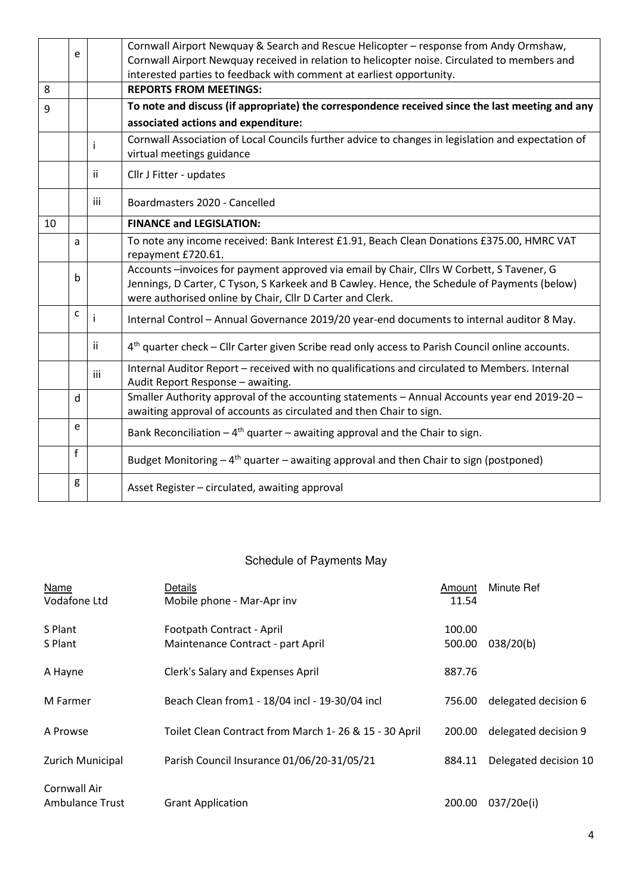|    | e |                                                                                              | Cornwall Airport Newquay & Search and Rescue Helicopter - response from Andy Ormshaw,                                              |  |  |  |  |  |
|----|---|----------------------------------------------------------------------------------------------|------------------------------------------------------------------------------------------------------------------------------------|--|--|--|--|--|
|    |   | Cornwall Airport Newquay received in relation to helicopter noise. Circulated to members and |                                                                                                                                    |  |  |  |  |  |
|    |   |                                                                                              | interested parties to feedback with comment at earliest opportunity.                                                               |  |  |  |  |  |
| 8  |   |                                                                                              | <b>REPORTS FROM MEETINGS:</b>                                                                                                      |  |  |  |  |  |
| 9  |   |                                                                                              | To note and discuss (if appropriate) the correspondence received since the last meeting and any                                    |  |  |  |  |  |
|    |   |                                                                                              | associated actions and expenditure:                                                                                                |  |  |  |  |  |
|    |   |                                                                                              | Cornwall Association of Local Councils further advice to changes in legislation and expectation of                                 |  |  |  |  |  |
|    |   |                                                                                              | virtual meetings guidance                                                                                                          |  |  |  |  |  |
|    |   | Ϊİ                                                                                           | Cllr J Fitter - updates                                                                                                            |  |  |  |  |  |
|    |   | iii                                                                                          | Boardmasters 2020 - Cancelled                                                                                                      |  |  |  |  |  |
| 10 |   |                                                                                              | <b>FINANCE and LEGISLATION:</b>                                                                                                    |  |  |  |  |  |
|    | a |                                                                                              | To note any income received: Bank Interest £1.91, Beach Clean Donations £375.00, HMRC VAT                                          |  |  |  |  |  |
|    |   |                                                                                              | repayment £720.61.                                                                                                                 |  |  |  |  |  |
|    | b |                                                                                              | Accounts -invoices for payment approved via email by Chair, Cllrs W Corbett, S Tavener, G                                          |  |  |  |  |  |
|    |   |                                                                                              | Jennings, D Carter, C Tyson, S Karkeek and B Cawley. Hence, the Schedule of Payments (below)                                       |  |  |  |  |  |
|    |   |                                                                                              | were authorised online by Chair, Cllr D Carter and Clerk.                                                                          |  |  |  |  |  |
|    | C |                                                                                              | Internal Control - Annual Governance 2019/20 year-end documents to internal auditor 8 May.                                         |  |  |  |  |  |
|    |   | ii.                                                                                          | 4 <sup>th</sup> quarter check - Cllr Carter given Scribe read only access to Parish Council online accounts.                       |  |  |  |  |  |
|    |   | iii                                                                                          | Internal Auditor Report - received with no qualifications and circulated to Members. Internal<br>Audit Report Response - awaiting. |  |  |  |  |  |
|    |   |                                                                                              | Smaller Authority approval of the accounting statements - Annual Accounts year end 2019-20 -                                       |  |  |  |  |  |
|    | d |                                                                                              | awaiting approval of accounts as circulated and then Chair to sign.                                                                |  |  |  |  |  |
|    | e |                                                                                              | Bank Reconciliation $-4$ <sup>th</sup> quarter – awaiting approval and the Chair to sign.                                          |  |  |  |  |  |
|    | f |                                                                                              | Budget Monitoring $-4$ <sup>th</sup> quarter $-$ awaiting approval and then Chair to sign (postponed)                              |  |  |  |  |  |
|    | g |                                                                                              | Asset Register - circulated, awaiting approval                                                                                     |  |  |  |  |  |

## Schedule of Payments May

| Name<br>Vodafone Ltd            | Details<br>Mobile phone - Mar-Apr inv                          | Amount<br>11.54  | Minute Ref            |
|---------------------------------|----------------------------------------------------------------|------------------|-----------------------|
| S Plant<br>S Plant              | Footpath Contract - April<br>Maintenance Contract - part April | 100.00<br>500.00 | 038/20(b)             |
| A Hayne                         | Clerk's Salary and Expenses April                              | 887.76           |                       |
| M Farmer                        | Beach Clean from1 - 18/04 incl - 19-30/04 incl                 | 756.00           | delegated decision 6  |
| A Prowse                        | Toilet Clean Contract from March 1-26 & 15 - 30 April          | 200.00           | delegated decision 9  |
| Zurich Municipal                | Parish Council Insurance 01/06/20-31/05/21                     | 884.11           | Delegated decision 10 |
| Cornwall Air<br>Ambulance Trust | <b>Grant Application</b>                                       | 200.00           | 037/20e(i)            |